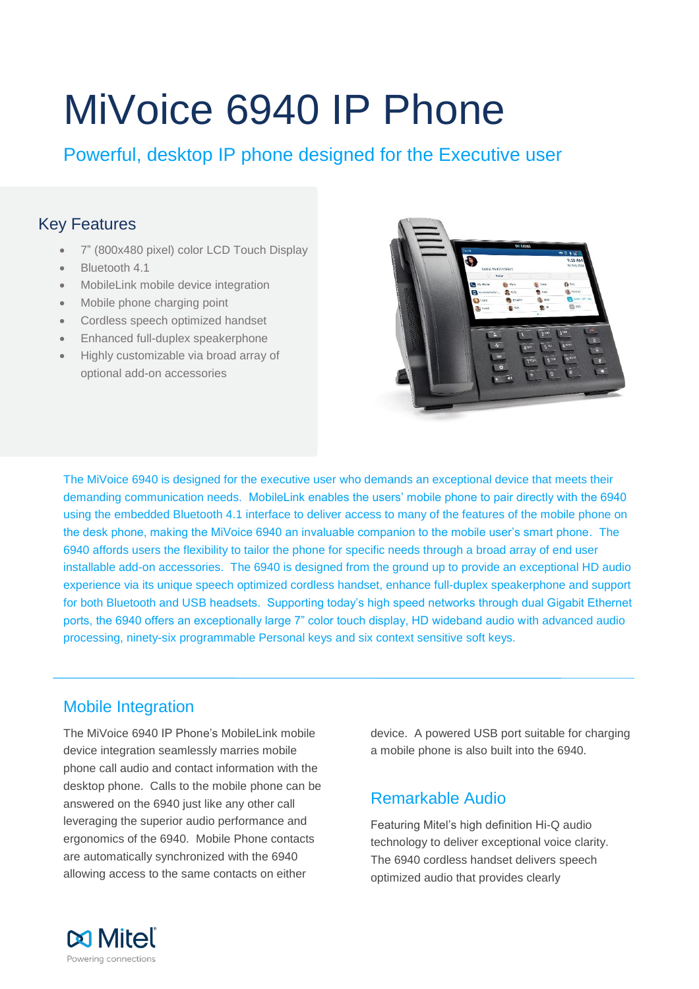# MiVoice 6940 IP Phone

Powerful, desktop IP phone designed for the Executive user

# Key Features

- 7" (800x480 pixel) color LCD Touch Display
- Bluetooth 4.1
- MobileLink mobile device integration
- Mobile phone charging point
- Cordless speech optimized handset
- Enhanced full-duplex speakerphone
- Highly customizable via broad array of optional add-on accessories



The MiVoice 6940 is designed for the executive user who demands an exceptional device that meets their demanding communication needs. MobileLink enables the users' mobile phone to pair directly with the 6940 using the embedded Bluetooth 4.1 interface to deliver access to many of the features of the mobile phone on the desk phone, making the MiVoice 6940 an invaluable companion to the mobile user's smart phone. The 6940 affords users the flexibility to tailor the phone for specific needs through a broad array of end user installable add-on accessories. The 6940 is designed from the ground up to provide an exceptional HD audio experience via its unique speech optimized cordless handset, enhance full-duplex speakerphone and support for both Bluetooth and USB headsets. Supporting today's high speed networks through dual Gigabit Ethernet ports, the 6940 offers an exceptionally large 7" color touch display, HD wideband audio with advanced audio processing, ninety-six programmable Personal keys and six context sensitive soft keys.

# Mobile Integration

The MiVoice 6940 IP Phone's MobileLink mobile device integration seamlessly marries mobile phone call audio and contact information with the desktop phone. Calls to the mobile phone can be answered on the 6940 just like any other call leveraging the superior audio performance and ergonomics of the 6940. Mobile Phone contacts are automatically synchronized with the 6940 allowing access to the same contacts on either

device. A powered USB port suitable for charging a mobile phone is also built into the 6940.

# Remarkable Audio

Featuring Mitel's high definition Hi-Q audio technology to deliver exceptional voice clarity. The 6940 cordless handset delivers speech optimized audio that provides clearly

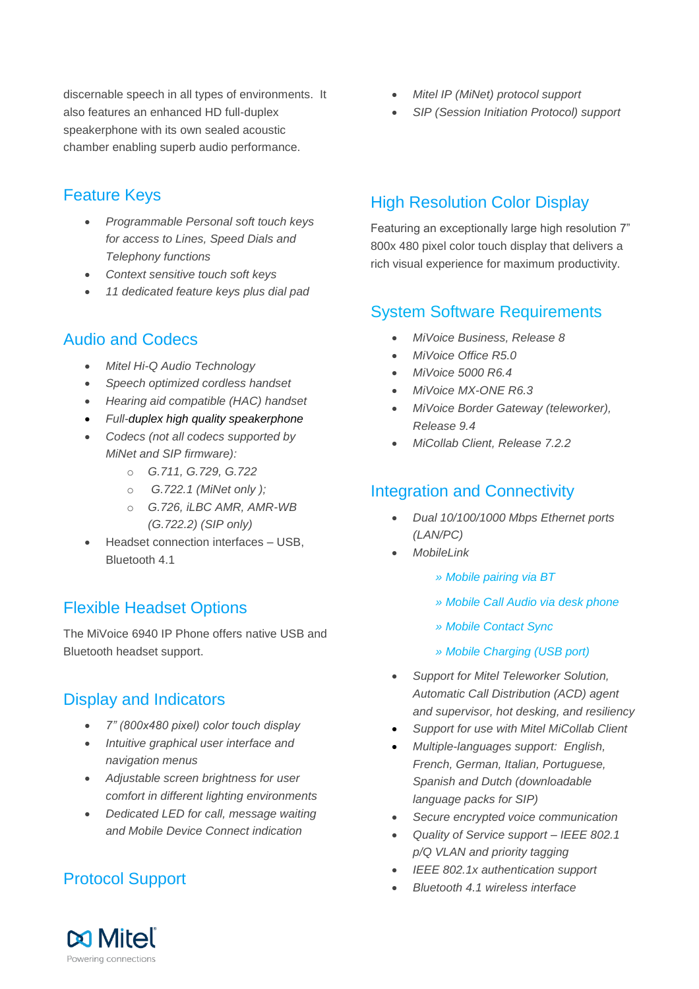discernable speech in all types of environments. It also features an enhanced HD full-duplex speakerphone with its own sealed acoustic chamber enabling superb audio performance.

## Feature Keys

- *Programmable Personal soft touch keys for access to Lines, Speed Dials and Telephony functions*
- *Context sensitive touch soft keys*
- *11 dedicated feature keys plus dial pad*

#### Audio and Codecs

- *Mitel Hi-Q Audio Technology*
- *Speech optimized cordless handset*
- *Hearing aid compatible (HAC) handset*
- *Full-duplex high quality speakerphone*
- *Codecs (not all codecs supported by MiNet and SIP firmware):* 
	- o *G.711, G.729, G.722*
	- o *G.722.1 (MiNet only );*
	- o *G.726, iLBC AMR, AMR-WB (G.722.2) (SIP only)*
- Headset connection interfaces USB, Bluetooth 4.1

## Flexible Headset Options

The MiVoice 6940 IP Phone offers native USB and Bluetooth headset support.

#### Display and Indicators

- *7" (800x480 pixel) color touch display*
- *Intuitive graphical user interface and navigation menus*
- *Adjustable screen brightness for user comfort in different lighting environments*
- *Dedicated LED for call, message waiting and Mobile Device Connect indication*

# Protocol Support

- *Mitel IP (MiNet) protocol support*
- *SIP (Session Initiation Protocol) support*

## High Resolution Color Display

Featuring an exceptionally large high resolution 7" 800x 480 pixel color touch display that delivers a rich visual experience for maximum productivity.

#### System Software Requirements

- *MiVoice Business, Release 8*
- *MiVoice Office R5.0*
- *MiVoice 5000 R6.4*
- *MiVoice MX-ONE R6.3*
- *MiVoice Border Gateway (teleworker), Release 9.4*
- *MiCollab Client, Release 7.2.2*

#### Integration and Connectivity

- *Dual 10/100/1000 Mbps Ethernet ports (LAN/PC)*
- *MobileLink* 
	- *» Mobile pairing via BT*
	- *» Mobile Call Audio via desk phone*
	- *» Mobile Contact Sync*
	- *» Mobile Charging (USB port)*
- *Support for Mitel Teleworker Solution, Automatic Call Distribution (ACD) agent and supervisor, hot desking, and resiliency*
- *Support for use with Mitel MiCollab Client*
- *Multiple-languages support: English, French, German, Italian, Portuguese, Spanish and Dutch (downloadable language packs for SIP)*
- *Secure encrypted voice communication*
- *Quality of Service support – IEEE 802.1 p/Q VLAN and priority tagging*
- *IEEE 802.1x authentication support*
- *Bluetooth 4.1 wireless interface*